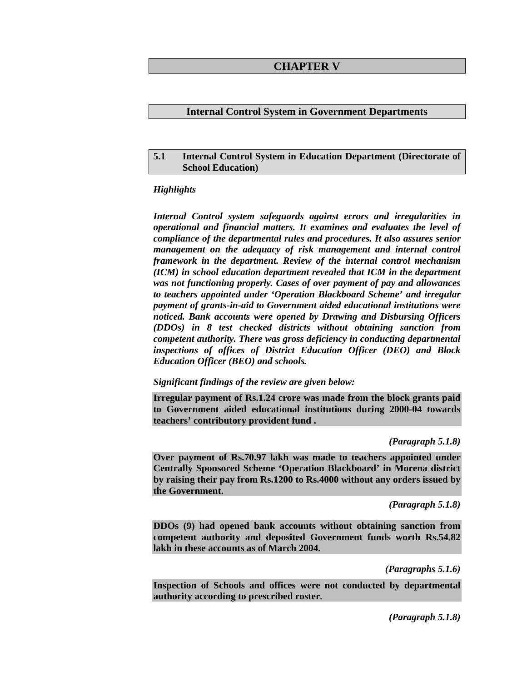### **CHAPTER V**

#### **Internal Control System in Government Departments**

#### **5.1 Internal Control System in Education Department (Directorate of School Education)**

#### *Highlights*

*Internal Control system safeguards against errors and irregularities in operational and financial matters. It examines and evaluates the level of compliance of the departmental rules and procedures. It also assures senior management on the adequacy of risk management and internal control framework in the department. Review of the internal control mechanism (ICM) in school education department revealed that ICM in the department was not functioning properly. Cases of over payment of pay and allowances to teachers appointed under 'Operation Blackboard Scheme' and irregular payment of grants-in-aid to Government aided educational institutions were noticed. Bank accounts were opened by Drawing and Disbursing Officers (DDOs) in 8 test checked districts without obtaining sanction from competent authority. There was gross deficiency in conducting departmental inspections of offices of District Education Officer (DEO) and Block Education Officer (BEO) and schools.* 

*Significant findings of the review are given below:* 

**Irregular payment of Rs.1.24 crore was made from the block grants paid to Government aided educational institutions during 2000-04 towards teachers' contributory provident fund .** 

*(Paragraph 5.1.8)* 

**Over payment of Rs.70.97 lakh was made to teachers appointed under Centrally Sponsored Scheme 'Operation Blackboard' in Morena district by raising their pay from Rs.1200 to Rs.4000 without any orders issued by the Government.** 

*(Paragraph 5.1.8)* 

**DDOs (9) had opened bank accounts without obtaining sanction from competent authority and deposited Government funds worth Rs.54.82 lakh in these accounts as of March 2004.** 

*(Paragraphs 5.1.6)* 

**Inspection of Schools and offices were not conducted by departmental authority according to prescribed roster.** 

*(Paragraph 5.1.8)*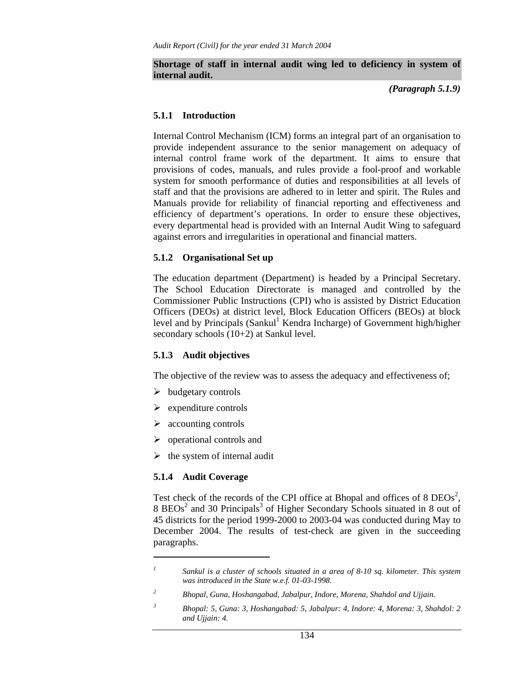#### **Shortage of staff in internal audit wing led to deficiency in system of internal audit.**

*(Paragraph 5.1.9)* 

### **5.1.1 Introduction**

Internal Control Mechanism (ICM) forms an integral part of an organisation to provide independent assurance to the senior management on adequacy of internal control frame work of the department. It aims to ensure that provisions of codes, manuals, and rules provide a fool-proof and workable system for smooth performance of duties and responsibilities at all levels of staff and that the provisions are adhered to in letter and spirit. The Rules and Manuals provide for reliability of financial reporting and effectiveness and efficiency of department's operations. In order to ensure these objectives, every departmental head is provided with an Internal Audit Wing to safeguard against errors and irregularities in operational and financial matters.

## **5.1.2 Organisational Set up**

The education department (Department) is headed by a Principal Secretary. The School Education Directorate is managed and controlled by the Commissioner Public Instructions (CPI) who is assisted by District Education Officers (DEOs) at district level, Block Education Officers (BEOs) at block level and by Principals (Sankul<sup>1</sup> Kendra Incharge) of Government high/higher secondary schools (10+2) at Sankul level.

## **5.1.3 Audit objectives**

The objective of the review was to assess the adequacy and effectiveness of;

- $\triangleright$  budgetary controls
- $\triangleright$  expenditure controls
- $\triangleright$  accounting controls
- $\triangleright$  operational controls and
- $\triangleright$  the system of internal audit

## **5.1.4 Audit Coverage**

 $\overline{a}$ 

Test check of the records of the CPI office at Bhopal and offices of 8  $DEOs<sup>2</sup>$ ,  $8 \text{ BEOs}^2$  and 30 Principals<sup>3</sup> of Higher Secondary Schools situated in 8 out of 45 districts for the period 1999-2000 to 2003-04 was conducted during May to December 2004. The results of test-check are given in the succeeding paragraphs.

*2 Bhopal, Guna, Hoshangabad, Jabalpur, Indore, Morena, Shahdol and Ujjain.* 

*<sup>1</sup> Sankul is a cluster of schools situated in a area of 8-10 sq. kilometer. This system was introduced in the State w.e.f. 01-03-1998.* 

*<sup>3</sup> Bhopal: 5, Guna: 3, Hoshangabad: 5, Jabalpur: 4, Indore: 4, Morena: 3, Shahdol: 2 and Ujjain: 4.*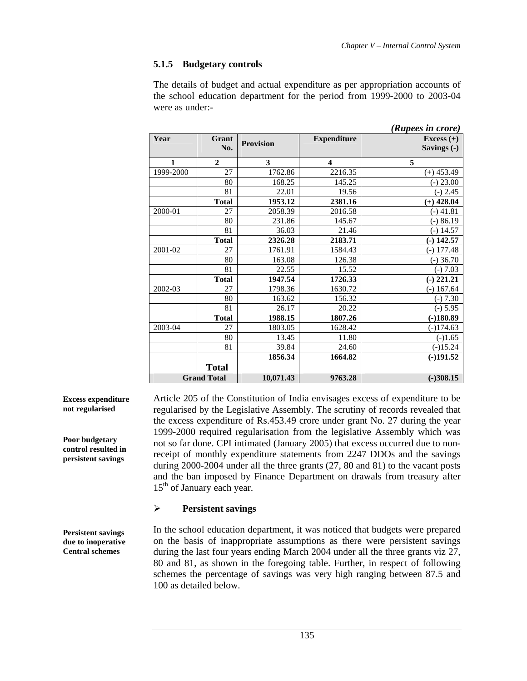# **5.1.5 Budgetary controls**

The details of budget and actual expenditure as per appropriation accounts of the school education department for the period from 1999-2000 to 2003-04 were as under:-

|           |                    |                  |                         | (Rupees in crore)           |
|-----------|--------------------|------------------|-------------------------|-----------------------------|
| Year      | Grant<br>No.       | <b>Provision</b> | <b>Expenditure</b>      | Excess $(+)$<br>Savings (-) |
| 1         | $\mathbf{2}$       | 3                | $\overline{\mathbf{4}}$ | 5                           |
| 1999-2000 | 27                 | 1762.86          | 2216.35                 | $(+)$ 453.49                |
|           | 80                 | 168.25           | 145.25                  | $(-) 23.00$                 |
|           | 81                 | 22.01            | 19.56                   | $(-) 2.45$                  |
|           | <b>Total</b>       | 1953.12          | 2381.16                 | $(+)$ 428.04                |
| 2000-01   | 27                 | 2058.39          | 2016.58                 | (-) 41.81                   |
|           | 80                 | 231.86           | 145.67                  | $-)86.19$                   |
|           | 81                 | 36.03            | 21.46                   | $(-)$ 14.57                 |
|           | <b>Total</b>       | 2326.28          | 2183.71                 | $(-) 142.57$                |
| 2001-02   | 27                 | 1761.91          | 1584.43                 | $(-)$ 177.48                |
|           | 80                 | 163.08           | 126.38                  | $(-)$ 36.70                 |
|           | 81                 | 22.55            | 15.52                   | $(-) 7.03$                  |
|           | <b>Total</b>       | 1947.54          | 1726.33                 | $(-)$ 221.21                |
| 2002-03   | 27                 | 1798.36          | 1630.72                 | $(-) 167.64$                |
|           | 80                 | 163.62           | 156.32                  | $(-) 7.30$                  |
|           | 81                 | 26.17            | 20.22                   | $(-) 5.95$                  |
|           | <b>Total</b>       | 1988.15          | 1807.26                 | $(-)180.89$                 |
| 2003-04   | 27                 | 1803.05          | 1628.42                 | $(-)174.63$                 |
|           | 80                 | 13.45            | 11.80                   | $(-)1.65$                   |
|           | 81                 | 39.84            | 24.60                   | $(-)15.24$                  |
|           |                    | 1856.34          | 1664.82                 | $(-)191.52$                 |
|           | <b>Total</b>       |                  |                         |                             |
|           | <b>Grand Total</b> | 10,071.43        | 9763.28                 | $(-)308.15$                 |

Article 205 of the Constitution of India envisages excess of expenditure to be regularised by the Legislative Assembly. The scrutiny of records revealed that the excess expenditure of Rs.453.49 crore under grant No. 27 during the year 1999-2000 required regularisation from the legislative Assembly which was not so far done. CPI intimated (January 2005) that excess occurred due to nonreceipt of monthly expenditure statements from 2247 DDOs and the savings during 2000-2004 under all the three grants (27, 80 and 81) to the vacant posts and the ban imposed by Finance Department on drawals from treasury after 15<sup>th</sup> of January each year.

## ¾ **Persistent savings**

In the school education department, it was noticed that budgets were prepared on the basis of inappropriate assumptions as there were persistent savings during the last four years ending March 2004 under all the three grants viz 27, 80 and 81, as shown in the foregoing table. Further, in respect of following schemes the percentage of savings was very high ranging between 87.5 and 100 as detailed below.

**Excess expenditure not regularised** 

**Poor budgetary control resulted in persistent savings** 

**Persistent savings due to inoperative Central schemes**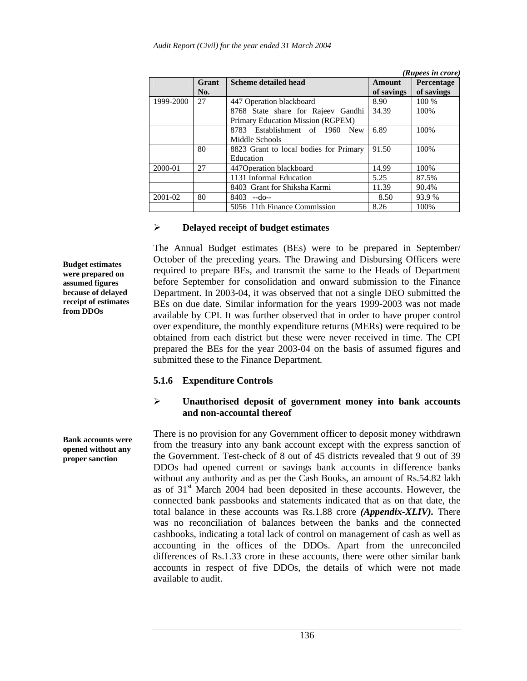|           |       |                                          |            | (Rupees in crore) |
|-----------|-------|------------------------------------------|------------|-------------------|
|           | Grant | <b>Scheme detailed head</b>              | Amount     | Percentage        |
|           | No.   |                                          | of savings | of savings        |
| 1999-2000 | 27    | 447 Operation blackboard                 | 8.90       | 100 %             |
|           |       | 8768 State share for Rajeev Gandhi       | 34.39      | 100%              |
|           |       | Primary Education Mission (RGPEM)        |            |                   |
|           |       | 8783 Establishment of 1960<br><b>New</b> | 6.89       | 100\%             |
|           |       | Middle Schools                           |            |                   |
|           | 80    | 8823 Grant to local bodies for Primary   | 91.50      | 100%              |
|           |       | Education                                |            |                   |
| 2000-01   | 27    | 447 Operation blackboard                 | 14.99      | 100\%             |
|           |       | 1131 Informal Education                  | 5.25       | 87.5%             |
|           |       | 8403 Grant for Shiksha Karmi             | 11.39      | 90.4%             |
| 2001-02   | 80    | $8403 - do -$                            | 8.50       | 93.9%             |
|           |       | 5056 11th Finance Commission             | 8.26       | 100\%             |

#### ¾ **Delayed receipt of budget estimates**

The Annual Budget estimates (BEs) were to be prepared in September/ October of the preceding years. The Drawing and Disbursing Officers were required to prepare BEs, and transmit the same to the Heads of Department before September for consolidation and onward submission to the Finance Department. In 2003-04, it was observed that not a single DEO submitted the BEs on due date. Similar information for the years 1999-2003 was not made available by CPI. It was further observed that in order to have proper control over expenditure, the monthly expenditure returns (MERs) were required to be obtained from each district but these were never received in time. The CPI prepared the BEs for the year 2003-04 on the basis of assumed figures and submitted these to the Finance Department.

## **5.1.6 Expenditure Controls**

## ¾ **Unauthorised deposit of government money into bank accounts and non-accountal thereof**

There is no provision for any Government officer to deposit money withdrawn from the treasury into any bank account except with the express sanction of the Government. Test-check of 8 out of 45 districts revealed that 9 out of 39 DDOs had opened current or savings bank accounts in difference banks without any authority and as per the Cash Books, an amount of Rs.54.82 lakh as of 31st March 2004 had been deposited in these accounts. However, the connected bank passbooks and statements indicated that as on that date, the total balance in these accounts was Rs.1.88 crore *(Appendix-XLIV).* There was no reconciliation of balances between the banks and the connected cashbooks, indicating a total lack of control on management of cash as well as accounting in the offices of the DDOs. Apart from the unreconciled differences of Rs.1.33 crore in these accounts, there were other similar bank accounts in respect of five DDOs, the details of which were not made available to audit.

**Budget estimates were prepared on assumed figures because of delayed receipt of estimates from DDOs** 

**Bank accounts were opened without any proper sanction**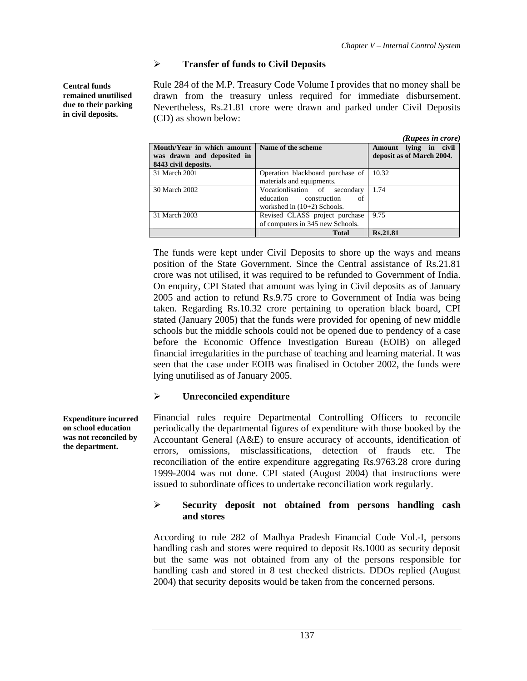## ¾ **Transfer of funds to Civil Deposits**

Rule 284 of the M.P. Treasury Code Volume I provides that no money shall be drawn from the treasury unless required for immediate disbursement. Nevertheless, Rs.21.81 crore were drawn and parked under Civil Deposits (CD) as shown below:

|                            |                                  | (Rupees in crore)         |
|----------------------------|----------------------------------|---------------------------|
| Month/Year in which amount | Name of the scheme               | Amount lying in civil     |
| was drawn and deposited in |                                  | deposit as of March 2004. |
| 8443 civil deposits.       |                                  |                           |
| 31 March 2001              | Operation blackboard purchase of | 10.32                     |
|                            | materials and equipments.        |                           |
| 30 March 2002              | Vocationlisation of<br>secondary | 1.74                      |
|                            | education construction<br>of     |                           |
|                            | workshed in $(10+2)$ Schools.    |                           |
| 31 March 2003              | Revised CLASS project purchase   | 9.75                      |
|                            | of computers in 345 new Schools. |                           |
|                            | <b>Total</b>                     | Rs.21.81                  |

The funds were kept under Civil Deposits to shore up the ways and means position of the State Government. Since the Central assistance of Rs.21.81 crore was not utilised, it was required to be refunded to Government of India. On enquiry, CPI Stated that amount was lying in Civil deposits as of January 2005 and action to refund Rs.9.75 crore to Government of India was being taken. Regarding Rs.10.32 crore pertaining to operation black board, CPI stated (January 2005) that the funds were provided for opening of new middle schools but the middle schools could not be opened due to pendency of a case before the Economic Offence Investigation Bureau (EOIB) on alleged financial irregularities in the purchase of teaching and learning material. It was seen that the case under EOIB was finalised in October 2002, the funds were lying unutilised as of January 2005.

## ¾ **Unreconciled expenditure**

Financial rules require Departmental Controlling Officers to reconcile periodically the departmental figures of expenditure with those booked by the Accountant General (A&E) to ensure accuracy of accounts, identification of errors, omissions, misclassifications, detection of frauds etc. The reconciliation of the entire expenditure aggregating Rs.9763.28 crore during 1999-2004 was not done. CPI stated (August 2004) that instructions were issued to subordinate offices to undertake reconciliation work regularly.

## ¾ **Security deposit not obtained from persons handling cash and stores**

According to rule 282 of Madhya Pradesh Financial Code Vol.-I, persons handling cash and stores were required to deposit Rs.1000 as security deposit but the same was not obtained from any of the persons responsible for handling cash and stored in 8 test checked districts. DDOs replied (August 2004) that security deposits would be taken from the concerned persons.

**Central funds remained unutilised due to their parking in civil deposits.** 

**Expenditure incurred on school education was not reconciled by the department.**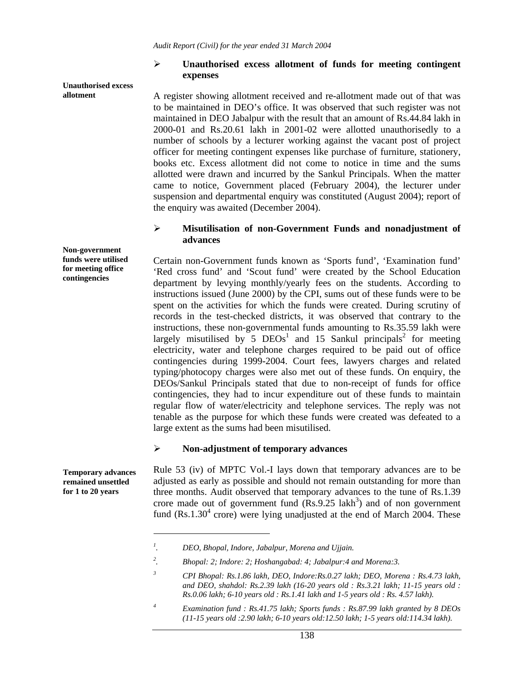#### ¾ **Unauthorised excess allotment of funds for meeting contingent expenses**

A register showing allotment received and re-allotment made out of that was to be maintained in DEO's office. It was observed that such register was not maintained in DEO Jabalpur with the result that an amount of Rs.44.84 lakh in 2000-01 and Rs.20.61 lakh in 2001-02 were allotted unauthorisedly to a number of schools by a lecturer working against the vacant post of project officer for meeting contingent expenses like purchase of furniture, stationery, books etc. Excess allotment did not come to notice in time and the sums allotted were drawn and incurred by the Sankul Principals. When the matter came to notice, Government placed (February 2004), the lecturer under suspension and departmental enquiry was constituted (August 2004); report of the enquiry was awaited (December 2004).

### ¾ **Misutilisation of non-Government Funds and nonadjustment of advances**

Certain non-Government funds known as 'Sports fund', 'Examination fund' 'Red cross fund' and 'Scout fund' were created by the School Education department by levying monthly/yearly fees on the students. According to instructions issued (June 2000) by the CPI, sums out of these funds were to be spent on the activities for which the funds were created. During scrutiny of records in the test-checked districts, it was observed that contrary to the instructions, these non-governmental funds amounting to Rs.35.59 lakh were largely misutilised by 5  $DEOs<sup>1</sup>$  and 15 Sankul principals<sup>2</sup> for meeting electricity, water and telephone charges required to be paid out of office contingencies during 1999-2004. Court fees, lawyers charges and related typing/photocopy charges were also met out of these funds. On enquiry, the DEOs/Sankul Principals stated that due to non-receipt of funds for office contingencies, they had to incur expenditure out of these funds to maintain regular flow of water/electricity and telephone services. The reply was not tenable as the purpose for which these funds were created was defeated to a large extent as the sums had been misutilised.

#### ¾ **Non-adjustment of temporary advances**

Rule 53 (iv) of MPTC Vol.-I lays down that temporary advances are to be adjusted as early as possible and should not remain outstanding for more than three months. Audit observed that temporary advances to the tune of Rs.1.39 crore made out of government fund  $(Rs.9.25 \text{ lakh}^3)$  and of non government fund  $(Rs.1.30<sup>4</sup>$  crore) were lying unadjusted at the end of March 2004. These

**Non-government funds were utilised for meeting office contingencies** 

**Unauthorised excess** 

**allotment** 

**Temporary advances remained unsettled for 1 to 20 years** 

 $\overline{a}$ 

*<sup>1</sup> . DEO, Bhopal, Indore, Jabalpur, Morena and Ujjain.* 

*<sup>2</sup> . Bhopal: 2; Indore: 2; Hoshangabad: 4; Jabalpur:4 and Morena:3.* 

*<sup>3</sup> CPI Bhopal: Rs.1.86 lakh, DEO, Indore:Rs.0.27 lakh; DEO, Morena : Rs.4.73 lakh, and DEO, shahdol: Rs.2.39 lakh (16-20 years old : Rs.3.21 lakh; 11-15 years old : Rs.0.06 lakh; 6-10 years old : Rs.1.41 lakh and 1-5 years old : Rs. 4.57 lakh).* 

*<sup>4</sup> Examination fund : Rs.41.75 lakh; Sports funds : Rs.87.99 lakh granted by 8 DEOs (11-15 years old :2.90 lakh; 6-10 years old:12.50 lakh; 1-5 years old:114.34 lakh).*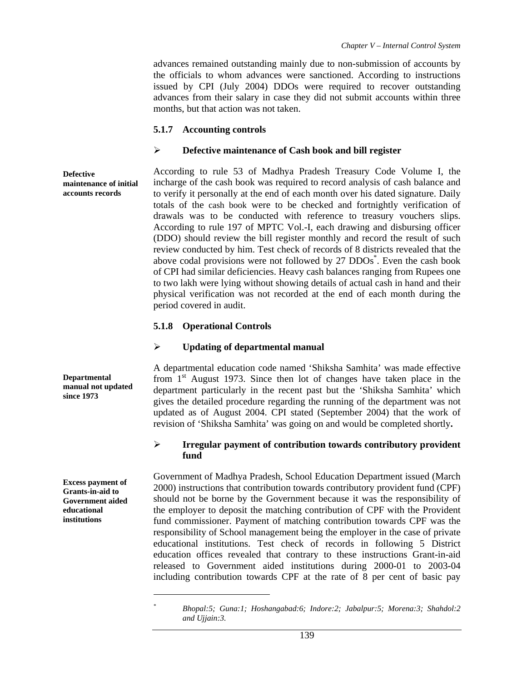advances remained outstanding mainly due to non-submission of accounts by the officials to whom advances were sanctioned. According to instructions issued by CPI (July 2004) DDOs were required to recover outstanding advances from their salary in case they did not submit accounts within three months, but that action was not taken.

### **5.1.7 Accounting controls**

#### ¾ **Defective maintenance of Cash book and bill register**

According to rule 53 of Madhya Pradesh Treasury Code Volume I, the incharge of the cash book was required to record analysis of cash balance and to verify it personally at the end of each month over his dated signature. Daily totals of the cash book were to be checked and fortnightly verification of drawals was to be conducted with reference to treasury vouchers slips. According to rule 197 of MPTC Vol.-I, each drawing and disbursing officer (DDO) should review the bill register monthly and record the result of such review conducted by him. Test check of records of 8 districts revealed that the above codal provisions were not followed by 27 DDOs<sup>\*</sup>. Even the cash book of CPI had similar deficiencies. Heavy cash balances ranging from Rupees one to two lakh were lying without showing details of actual cash in hand and their physical verification was not recorded at the end of each month during the period covered in audit.

## **5.1.8 Operational Controls**

#### ¾ **Updating of departmental manual**

A departmental education code named 'Shiksha Samhita' was made effective from  $1<sup>st</sup>$  August 1973. Since then lot of changes have taken place in the department particularly in the recent past but the 'Shiksha Samhita' which gives the detailed procedure regarding the running of the department was not updated as of August 2004. CPI stated (September 2004) that the work of revision of 'Shiksha Samhita' was going on and would be completed shortly**.** 

## ¾ **Irregular payment of contribution towards contributory provident fund**

Government of Madhya Pradesh, School Education Department issued (March 2000) instructions that contribution towards contributory provident fund (CPF) should not be borne by the Government because it was the responsibility of the employer to deposit the matching contribution of CPF with the Provident fund commissioner. Payment of matching contribution towards CPF was the responsibility of School management being the employer in the case of private educational institutions. Test check of records in following 5 District education offices revealed that contrary to these instructions Grant-in-aid released to Government aided institutions during 2000-01 to 2003-04 including contribution towards CPF at the rate of 8 per cent of basic pay

**Defective maintenance of initial accounts records** 

**Departmental manual not updated since 1973** 

**Excess payment of Grants-in-aid to Government aided educational institutions** 

 $\overline{a}$ 

*<sup>\*</sup> Bhopal:5; Guna:1; Hoshangabad:6; Indore:2; Jabalpur:5; Morena:3; Shahdol:2 and Ujjain:3.*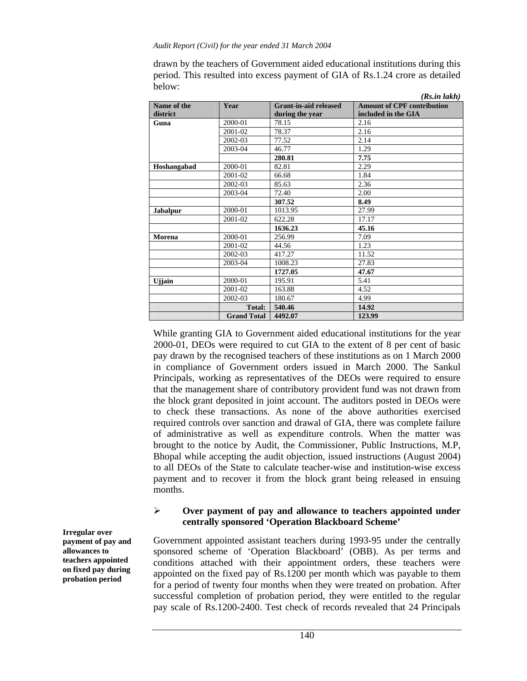drawn by the teachers of Government aided educational institutions during this period. This resulted into excess payment of GIA of Rs.1.24 crore as detailed below:

|                 |                    |                              | (Rs.in lakh)                      |
|-----------------|--------------------|------------------------------|-----------------------------------|
| Name of the     | Year               | <b>Grant-in-aid released</b> | <b>Amount of CPF contribution</b> |
| district        |                    | during the year              | included in the GIA               |
| Guna            | 2000-01            | 78.15                        | 2.16                              |
|                 | 2001-02            | 78.37                        | 2.16                              |
|                 | 2002-03            | 77.52                        | 2.14                              |
|                 | 2003-04            | 46.77                        | 1.29                              |
|                 |                    | 280.81                       | 7.75                              |
| Hoshangabad     | 2000-01            | 82.81                        | 2.29                              |
|                 | 2001-02            | 66.68                        | 1.84                              |
|                 | 2002-03            | 85.63                        | 2.36                              |
|                 | 2003-04            | 72.40                        | 2.00                              |
|                 |                    | 307.52                       | 8.49                              |
| <b>Jabalpur</b> | 2000-01            | 1013.95                      | 27.99                             |
|                 | 2001-02            | 622.28                       | 17.17                             |
|                 |                    | 1636.23                      | 45.16                             |
| Morena          | 2000-01            | 256.99                       | 7.09                              |
|                 | 2001-02            | 44.56                        | 1.23                              |
|                 | 2002-03            | 417.27                       | 11.52                             |
|                 | 2003-04            | 1008.23                      | 27.83                             |
|                 |                    | 1727.05                      | 47.67                             |
| <b>U</b> jiain  | 2000-01            | 195.91                       | 5.41                              |
|                 | 2001-02            | 163.88                       | 4.52                              |
|                 | 2002-03            | 180.67                       | 4.99                              |
|                 | Total:             | 540.46                       | 14.92                             |
|                 | <b>Grand Total</b> | 4492.07                      | 123.99                            |

While granting GIA to Government aided educational institutions for the year 2000-01, DEOs were required to cut GIA to the extent of 8 per cent of basic pay drawn by the recognised teachers of these institutions as on 1 March 2000 in compliance of Government orders issued in March 2000. The Sankul Principals, working as representatives of the DEOs were required to ensure that the management share of contributory provident fund was not drawn from the block grant deposited in joint account. The auditors posted in DEOs were to check these transactions. As none of the above authorities exercised required controls over sanction and drawal of GIA, there was complete failure of administrative as well as expenditure controls. When the matter was brought to the notice by Audit, the Commissioner, Public Instructions, M.P, Bhopal while accepting the audit objection, issued instructions (August 2004) to all DEOs of the State to calculate teacher-wise and institution-wise excess payment and to recover it from the block grant being released in ensuing months.

### ¾ **Over payment of pay and allowance to teachers appointed under centrally sponsored 'Operation Blackboard Scheme'**

Government appointed assistant teachers during 1993-95 under the centrally sponsored scheme of 'Operation Blackboard' (OBB). As per terms and conditions attached with their appointment orders, these teachers were appointed on the fixed pay of Rs.1200 per month which was payable to them for a period of twenty four months when they were treated on probation. After successful completion of probation period, they were entitled to the regular pay scale of Rs.1200-2400. Test check of records revealed that 24 Principals

**Irregular over payment of pay and allowances to teachers appointed on fixed pay during probation period**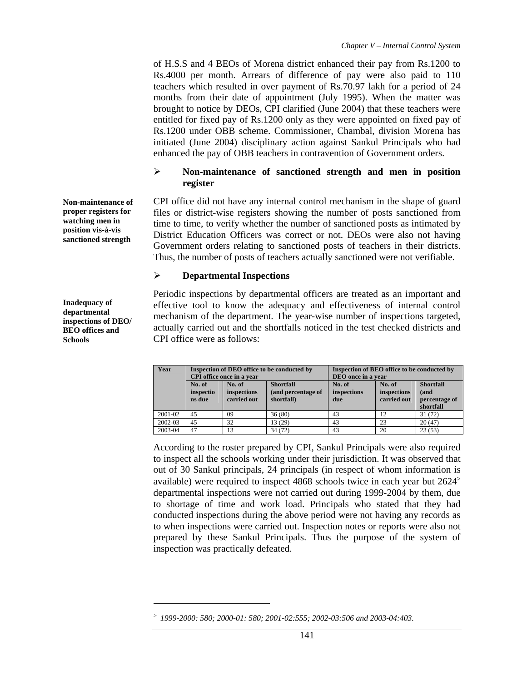of H.S.S and 4 BEOs of Morena district enhanced their pay from Rs.1200 to Rs.4000 per month. Arrears of difference of pay were also paid to 110 teachers which resulted in over payment of Rs.70.97 lakh for a period of 24 months from their date of appointment (July 1995). When the matter was brought to notice by DEOs, CPI clarified (June 2004) that these teachers were entitled for fixed pay of Rs.1200 only as they were appointed on fixed pay of Rs.1200 under OBB scheme. Commissioner, Chambal, division Morena has initiated (June 2004) disciplinary action against Sankul Principals who had enhanced the pay of OBB teachers in contravention of Government orders.

## ¾ **Non-maintenance of sanctioned strength and men in position register**

CPI office did not have any internal control mechanism in the shape of guard files or district-wise registers showing the number of posts sanctioned from time to time, to verify whether the number of sanctioned posts as intimated by District Education Officers was correct or not. DEOs were also not having Government orders relating to sanctioned posts of teachers in their districts. Thus, the number of posts of teachers actually sanctioned were not verifiable.

## ¾ **Departmental Inspections**

Periodic inspections by departmental officers are treated as an important and effective tool to know the adequacy and effectiveness of internal control mechanism of the department. The year-wise number of inspections targeted, actually carried out and the shortfalls noticed in the test checked districts and CPI office were as follows:

| Year    | Inspection of DEO office to be conducted by<br>CPI office once in a year |                                      |                                                      | Inspection of BEO office to be conducted by<br>DEO once in a vear |                                      |                                                        |
|---------|--------------------------------------------------------------------------|--------------------------------------|------------------------------------------------------|-------------------------------------------------------------------|--------------------------------------|--------------------------------------------------------|
|         | No. of<br>inspectio<br>ns due                                            | No. of<br>inspections<br>carried out | <b>Shortfall</b><br>(and percentage of<br>shortfall) | No. of<br>inspections<br>due                                      | No. of<br>inspections<br>carried out | <b>Shortfall</b><br>(and<br>percentage of<br>shortfall |
| 2001-02 | 45                                                                       | 09                                   | 36(80)                                               | 43                                                                | 12                                   | 31 (72)                                                |
| 2002-03 | 45                                                                       | 32                                   | 13 (29)                                              | 43                                                                | 23                                   | 20(47)                                                 |
| 2003-04 | 47                                                                       | 13                                   | 34 (72)                                              | 43                                                                | 20                                   | 23(53)                                                 |

According to the roster prepared by CPI, Sankul Principals were also required to inspect all the schools working under their jurisdiction. It was observed that out of 30 Sankul principals, 24 principals (in respect of whom information is available) were required to inspect 4868 schools twice in each year but 2624<sup>&</sup>gt; departmental inspections were not carried out during 1999-2004 by them, due to shortage of time and work load. Principals who stated that they had conducted inspections during the above period were not having any records as to when inspections were carried out. Inspection notes or reports were also not prepared by these Sankul Principals. Thus the purpose of the system of inspection was practically defeated.

**Non-maintenance of proper registers for watching men in position vis-à-vis sanctioned strength** 

**Inadequacy of departmental inspections of DEO/ BEO offices and Schools** 

 $\overline{a}$ 

<sup>&</sup>gt; *1999-2000: 580; 2000-01: 580; 2001-02:555; 2002-03:506 and 2003-04:403.*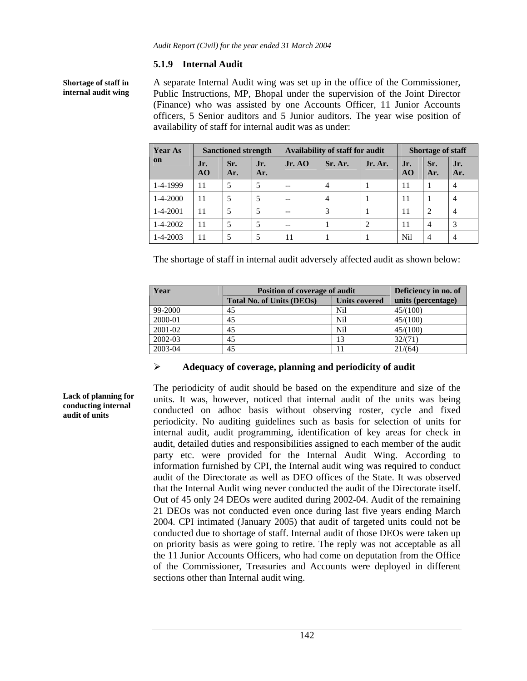## **5.1.9 Internal Audit**

**Shortage of staff in internal audit wing**  A separate Internal Audit wing was set up in the office of the Commissioner, Public Instructions, MP, Bhopal under the supervision of the Joint Director (Finance) who was assisted by one Accounts Officer, 11 Junior Accounts officers, 5 Senior auditors and 5 Junior auditors. The year wise position of availability of staff for internal audit was as under:

| <b>Year As</b> | <b>Sanctioned strength</b> |            |            | Availability of staff for audit |                |         | <b>Shortage of staff</b> |                |            |
|----------------|----------------------------|------------|------------|---------------------------------|----------------|---------|--------------------------|----------------|------------|
| on             | Jr.<br>AO                  | Sr.<br>Ar. | Jr.<br>Ar. | Jr. AO                          | Sr. Ar.        | Jr. Ar. | Jr.<br>AO                | Sr.<br>Ar.     | Jr.<br>Ar. |
| 1-4-1999       | 11                         | 5          |            |                                 | $\overline{4}$ |         | 11                       |                | 4          |
| $1 - 4 - 2000$ | 11                         | 5          |            |                                 | $\overline{4}$ |         | 11                       |                | 4          |
| $1 - 4 - 2001$ | 11                         | 5          |            |                                 | 3              |         | 11                       | 2              | 4          |
| $1 - 4 - 2002$ | 11                         | 5          |            | --                              |                |         | 11                       | $\overline{4}$ | 3          |
| $1 - 4 - 2003$ | 11                         | 5          |            | 11                              |                |         | Nil                      | 4              | 4          |

The shortage of staff in internal audit adversely affected audit as shown below:

| Year    | <b>Position of coverage of audit</b> | Deficiency in no. of |                    |
|---------|--------------------------------------|----------------------|--------------------|
|         | <b>Total No. of Units (DEOs)</b>     | <b>Units covered</b> | units (percentage) |
| 99-2000 | 45                                   | Nil                  | 45/(100)           |
| 2000-01 | 45                                   | Nil                  | 45/(100)           |
| 2001-02 | 45                                   | Nil                  | 45/(100)           |
| 2002-03 | 45                                   | 13                   | 32/(71)            |
| 2003-04 | 45                                   |                      | 21/(64)            |

#### ¾ **Adequacy of coverage, planning and periodicity of audit**

The periodicity of audit should be based on the expenditure and size of the units. It was, however, noticed that internal audit of the units was being conducted on adhoc basis without observing roster, cycle and fixed periodicity. No auditing guidelines such as basis for selection of units for internal audit, audit programming, identification of key areas for check in audit, detailed duties and responsibilities assigned to each member of the audit party etc. were provided for the Internal Audit Wing. According to information furnished by CPI, the Internal audit wing was required to conduct audit of the Directorate as well as DEO offices of the State. It was observed that the Internal Audit wing never conducted the audit of the Directorate itself. Out of 45 only 24 DEOs were audited during 2002-04. Audit of the remaining 21 DEOs was not conducted even once during last five years ending March 2004. CPI intimated (January 2005) that audit of targeted units could not be conducted due to shortage of staff. Internal audit of those DEOs were taken up on priority basis as were going to retire. The reply was not acceptable as all the 11 Junior Accounts Officers, who had come on deputation from the Office of the Commissioner, Treasuries and Accounts were deployed in different sections other than Internal audit wing.

**Lack of planning for conducting internal audit of units**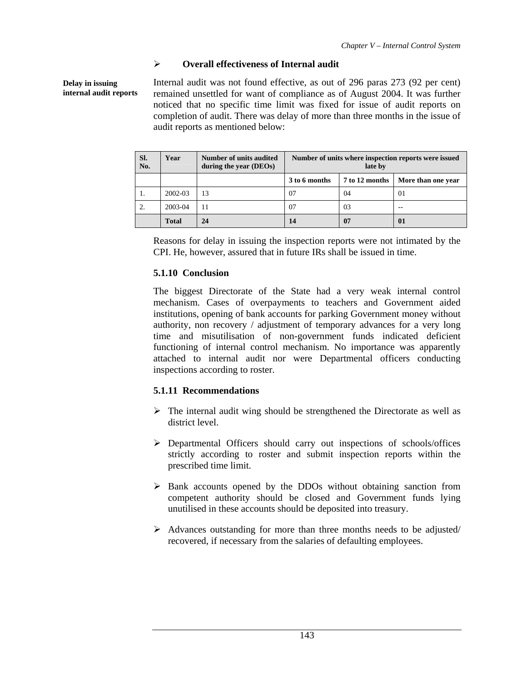# ¾ **Overall effectiveness of Internal audit**

**Delay in issuing internal audit reports**  Internal audit was not found effective, as out of 296 paras 273 (92 per cent) remained unsettled for want of compliance as of August 2004. It was further noticed that no specific time limit was fixed for issue of audit reports on completion of audit. There was delay of more than three months in the issue of audit reports as mentioned below:

| Sl.<br>No. | Year         | Number of units audited<br>during the year (DEOs) | Number of units where inspection reports were issued<br>late by |                |                    |  |
|------------|--------------|---------------------------------------------------|-----------------------------------------------------------------|----------------|--------------------|--|
|            |              |                                                   | 3 to 6 months                                                   | 7 to 12 months | More than one year |  |
| 1.         | 2002-03      | 13                                                | 07                                                              | 04             | 01                 |  |
| 2.         | 2003-04      | 11                                                | 07                                                              | 03             |                    |  |
|            | <b>Total</b> | 24                                                | 14                                                              | 07             | 01                 |  |

Reasons for delay in issuing the inspection reports were not intimated by the CPI. He, however, assured that in future IRs shall be issued in time.

# **5.1.10 Conclusion**

The biggest Directorate of the State had a very weak internal control mechanism. Cases of overpayments to teachers and Government aided institutions, opening of bank accounts for parking Government money without authority, non recovery / adjustment of temporary advances for a very long time and misutilisation of non-government funds indicated deficient functioning of internal control mechanism. No importance was apparently attached to internal audit nor were Departmental officers conducting inspections according to roster.

# **5.1.11 Recommendations**

- $\triangleright$  The internal audit wing should be strengthened the Directorate as well as district level.
- ¾ Departmental Officers should carry out inspections of schools/offices strictly according to roster and submit inspection reports within the prescribed time limit.
- $\triangleright$  Bank accounts opened by the DDOs without obtaining sanction from competent authority should be closed and Government funds lying unutilised in these accounts should be deposited into treasury.
- $\triangleright$  Advances outstanding for more than three months needs to be adjusted/ recovered, if necessary from the salaries of defaulting employees.